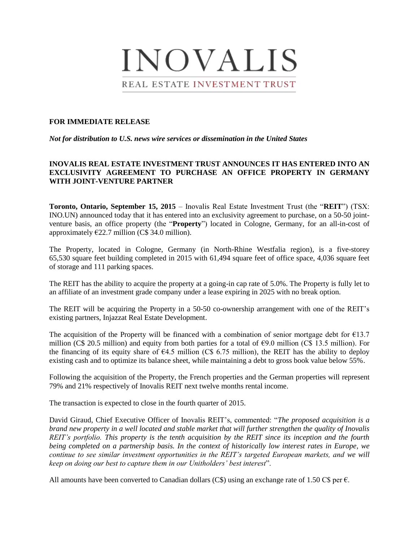

## **FOR IMMEDIATE RELEASE**

*Not for distribution to U.S. news wire services or dissemination in the United States*

## **INOVALIS REAL ESTATE INVESTMENT TRUST ANNOUNCES IT HAS ENTERED INTO AN EXCLUSIVITY AGREEMENT TO PURCHASE AN OFFICE PROPERTY IN GERMANY WITH JOINT-VENTURE PARTNER**

**Toronto, Ontario, September 15, 2015** – Inovalis Real Estate Investment Trust (the "**REIT**") (TSX: INO.UN) announced today that it has entered into an exclusivity agreement to purchase, on a 50-50 jointventure basis, an office property (the "**Property**") located in Cologne, Germany, for an all-in-cost of approximately  $E22.7$  million (C\$ 34.0 million).

The Property, located in Cologne, Germany (in North-Rhine Westfalia region), is a five-storey 65,530 square feet building completed in 2015 with 61,494 square feet of office space, 4,036 square feet of storage and 111 parking spaces.

The REIT has the ability to acquire the property at a going-in cap rate of 5.0%. The Property is fully let to an affiliate of an investment grade company under a lease expiring in 2025 with no break option.

The REIT will be acquiring the Property in a 50-50 co-ownership arrangement with one of the REIT's existing partners, Injazzat Real Estate Development.

The acquisition of the Property will be financed with a combination of senior mortgage debt for  $E13.7$ million (C\$ 20.5 million) and equity from both parties for a total of  $\epsilon$ 9.0 million (C\$ 13.5 million). For the financing of its equity share of  $64.5$  million (C\$ 6.75 million), the REIT has the ability to deploy existing cash and to optimize its balance sheet, while maintaining a debt to gross book value below 55%.

Following the acquisition of the Property, the French properties and the German properties will represent 79% and 21% respectively of Inovalis REIT next twelve months rental income.

The transaction is expected to close in the fourth quarter of 2015.

David Giraud, Chief Executive Officer of Inovalis REIT's, commented: "*The proposed acquisition is a brand new property in a well located and stable market that will further strengthen the quality of Inovalis REIT's portfolio. This property is the tenth acquisition by the REIT since its inception and the fourth being completed on a partnership basis. In the context of historically low interest rates in Europe, we continue to see similar investment opportunities in the REIT's targeted European markets, and we will keep on doing our best to capture them in our Unitholders' best interest*".

All amounts have been converted to Canadian dollars (C\$) using an exchange rate of 1.50 C\$ per  $\epsilon$ .